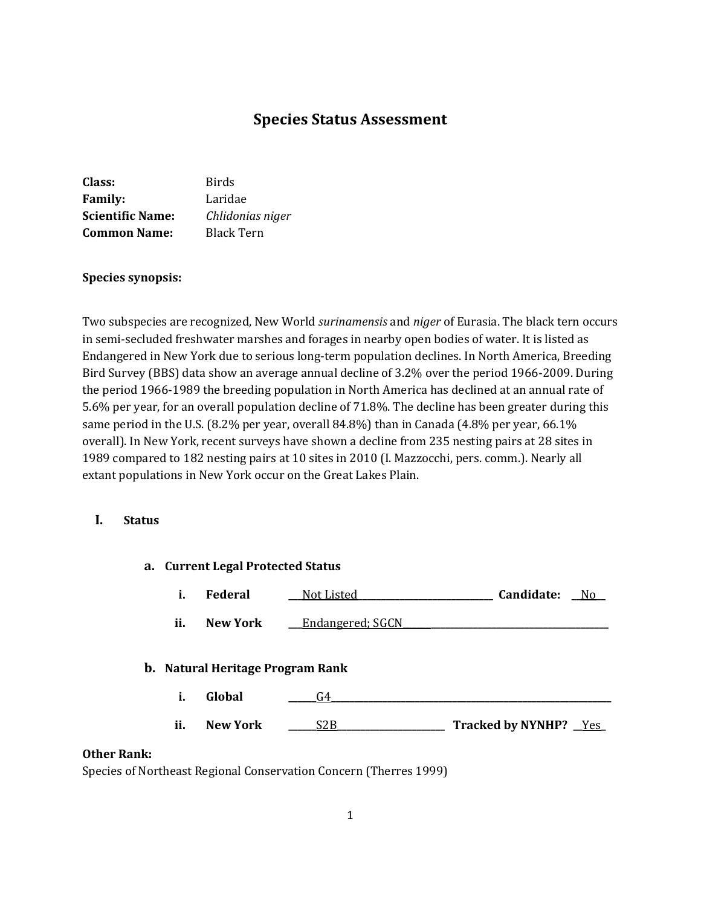# **Species Status Assessment**

| Class:                  | Birds            |
|-------------------------|------------------|
| <b>Family:</b>          | Laridae          |
| <b>Scientific Name:</b> | Chlidonias niger |
| <b>Common Name:</b>     | Black Tern       |

### **Species synopsis:**

Two subspecies are recognized, New World *surinamensis* and *niger* of Eurasia. The black tern occurs in semi-secluded freshwater marshes and forages in nearby open bodies of water. It is listed as Endangered in New York due to serious long-term population declines. In North America, Breeding Bird Survey (BBS) data show an average annual decline of 3.2% over the period 1966-2009. During the period 1966-1989 the breeding population in North America has declined at an annual rate of 5.6% per year, for an overall population decline of 71.8%. The decline has been greater during this same period in the U.S. (8.2% per year, overall 84.8%) than in Canada (4.8% per year, 66.1% overall). In New York, recent surveys have shown a decline from 235 nesting pairs at 28 sites in 1989 compared to 182 nesting pairs at 10 sites in 2010 (I. Mazzocchi, pers. comm.). Nearly all extant populations in New York occur on the Great Lakes Plain.

### **I. Status**

# **a. Current Legal Protected Status**

| ī. | <b>Federal</b> | Not Listed | Candidate: | Ν٥ |
|----|----------------|------------|------------|----|
|    |                |            |            |    |

**ii.** New York <u>Lendangered; SGCN</u>

## **b. Natural Heritage Program Rank**

- **i. Global \_\_\_\_\_\_**G4**\_\_\_\_\_\_\_\_\_\_\_\_\_\_\_\_\_\_\_\_\_\_\_\_\_\_\_\_\_\_\_\_\_\_\_\_\_\_\_\_\_\_\_\_\_\_\_\_\_\_\_\_\_\_\_\_\_\_\_\_**
- **ii. New York 22B Tracked by NYNHP?** Yes

# **Other Rank:**

Species of Northeast Regional Conservation Concern (Therres 1999)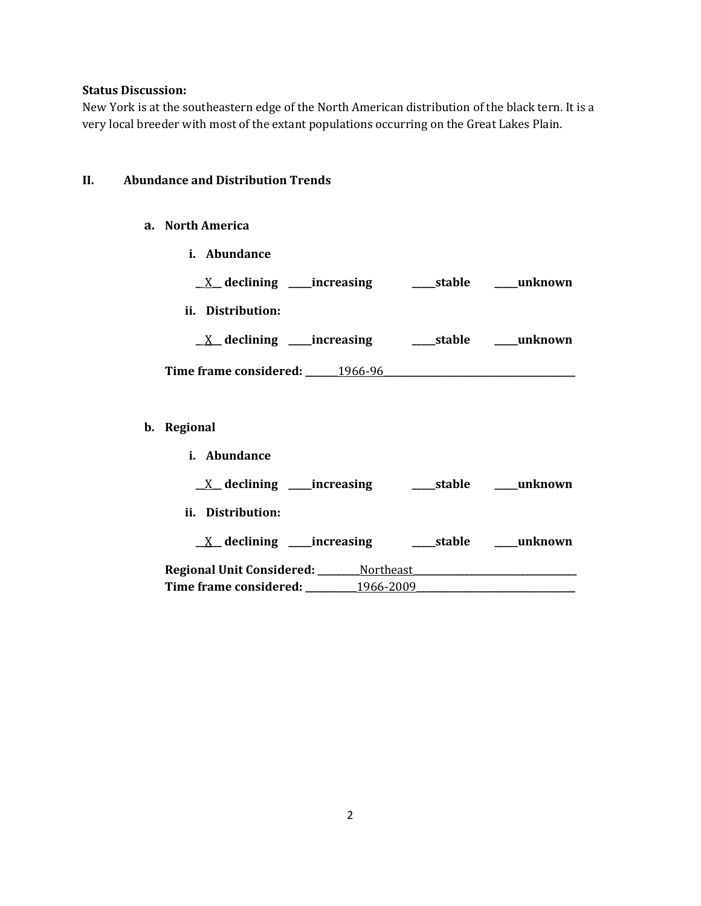# **Status Discussion:**

**b**.

New York is at the southeastern edge of the North American distribution of the black tern. It is a very local breeder with most of the extant populations occurring on the Great Lakes Plain.

# **II. Abundance and Distribution Trends**

# **a. North America**

| i. Abundance                                                                     |  |
|----------------------------------------------------------------------------------|--|
| <u>X</u> declining ____increasing _______stable _____unknown                     |  |
| ii. Distribution:                                                                |  |
| <u>_X</u> _declining ___increasing _____stable ____unknown                       |  |
|                                                                                  |  |
|                                                                                  |  |
| Regional                                                                         |  |
| i. Abundance                                                                     |  |
|                                                                                  |  |
| ii. Distribution:                                                                |  |
| <u>X</u> declining ____increasing ______stable ____unknown                       |  |
| Regional Unit Considered: ________ Northeast ___________________________________ |  |
|                                                                                  |  |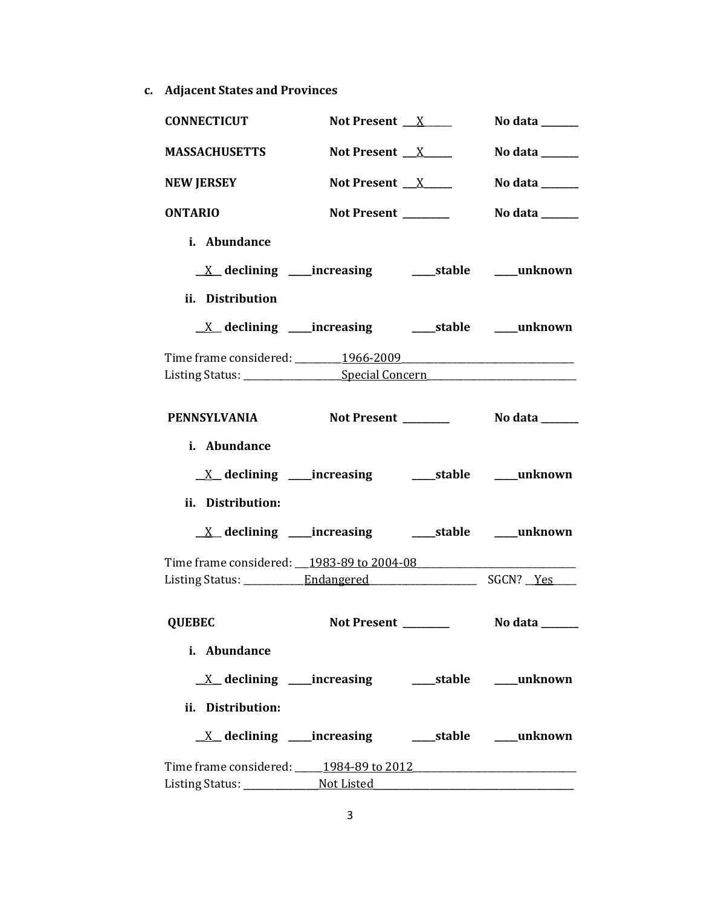**c. Adjacent States and Provinces**

| <b>CONNECTICUT</b>                                                               | Not Present $X$                                                         | No data $\_\_$                                                                   |
|----------------------------------------------------------------------------------|-------------------------------------------------------------------------|----------------------------------------------------------------------------------|
| <b>MASSACHUSETTS</b>                                                             | Not Present $X$                                                         | No data $\_\_\_\_\_\_\_\_\_\_\_\_\_\_\_\_\_\_\_\_\_\_\_\_\_\_\_\_\_\_\_\_\_\_\_$ |
| <b>NEW JERSEY</b>                                                                | Not Present $X$                                                         | No data $\_\_\_\_\_\_\_\_\_\_\_\_\_\_\_\_$                                       |
| <b>ONTARIO</b>                                                                   | Not Present _______                                                     | No data $\_\_$                                                                   |
| i. Abundance                                                                     |                                                                         |                                                                                  |
|                                                                                  |                                                                         |                                                                                  |
| ii. Distribution                                                                 |                                                                         |                                                                                  |
|                                                                                  | <u>X</u> declining ____increasing ______stable ____unknown              |                                                                                  |
|                                                                                  |                                                                         |                                                                                  |
| Listing Status: ______________________Special Concern___________________________ |                                                                         |                                                                                  |
| <b>PENNSYLVANIA</b>                                                              | Not Present ________                                                    | No data <b>waxaa ka mid dhe</b>                                                  |
| i. Abundance                                                                     |                                                                         |                                                                                  |
|                                                                                  |                                                                         |                                                                                  |
|                                                                                  |                                                                         |                                                                                  |
| ii. Distribution:                                                                |                                                                         |                                                                                  |
|                                                                                  |                                                                         |                                                                                  |
| Time frame considered: 1983-89 to 2004-08                                        |                                                                         |                                                                                  |
|                                                                                  |                                                                         |                                                                                  |
|                                                                                  |                                                                         |                                                                                  |
| <b>QUEBEC</b>                                                                    | <b>Not Present</b>                                                      | No data _                                                                        |
| i. Abundance                                                                     |                                                                         |                                                                                  |
|                                                                                  |                                                                         |                                                                                  |
| ii. Distribution:                                                                |                                                                         |                                                                                  |
|                                                                                  | $\underline{X}$ declining ____increasing __________stable ______unknown |                                                                                  |
| Time frame considered: 1984-89 to 2012                                           |                                                                         |                                                                                  |
|                                                                                  |                                                                         |                                                                                  |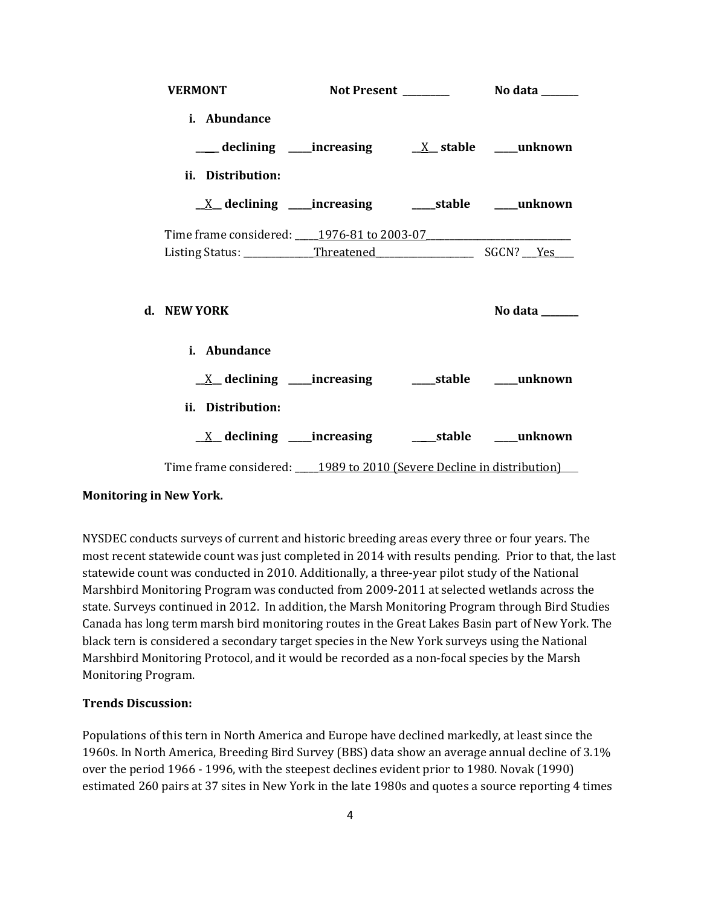| <b>VERMONT</b>                                                            |  |                |
|---------------------------------------------------------------------------|--|----------------|
| <i>i.</i> Abundance<br>ii. Distribution:                                  |  |                |
|                                                                           |  |                |
| Time frame considered: 1976-81 to 2003-07                                 |  |                |
|                                                                           |  |                |
| d. NEW YORK                                                               |  | No data ______ |
| i. Abundance                                                              |  |                |
| $\underline{X}$ declining ____increasing ___________stable _______unknown |  |                |
| ii. Distribution:                                                         |  |                |
| <u>X</u> declining ____increasing ______stable ____unknown                |  |                |
| Time frame considered: 1989 to 2010 (Severe Decline in distribution)      |  |                |

# **Monitoring in New York.**

NYSDEC conducts surveys of current and historic breeding areas every three or four years. The most recent statewide count was just completed in 2014 with results pending. Prior to that, the last statewide count was conducted in 2010. Additionally, a three-year pilot study of the National Marshbird Monitoring Program was conducted from 2009-2011 at selected wetlands across the state. Surveys continued in 2012. In addition, the Marsh Monitoring Program through Bird Studies Canada has long term marsh bird monitoring routes in the Great Lakes Basin part of New York. The black tern is considered a secondary target species in the New York surveys using the National Marshbird Monitoring Protocol, and it would be recorded as a non-focal species by the Marsh Monitoring Program.

#### **Trends Discussion:**

Populations of this tern in North America and Europe have declined markedly, at least since the 1960s. In North America, Breeding Bird Survey (BBS) data show an average annual decline of 3.1% over the period 1966 - 1996, with the steepest declines evident prior to 1980. Novak (1990) estimated 260 pairs at 37 sites in New York in the late 1980s and quotes a source reporting 4 times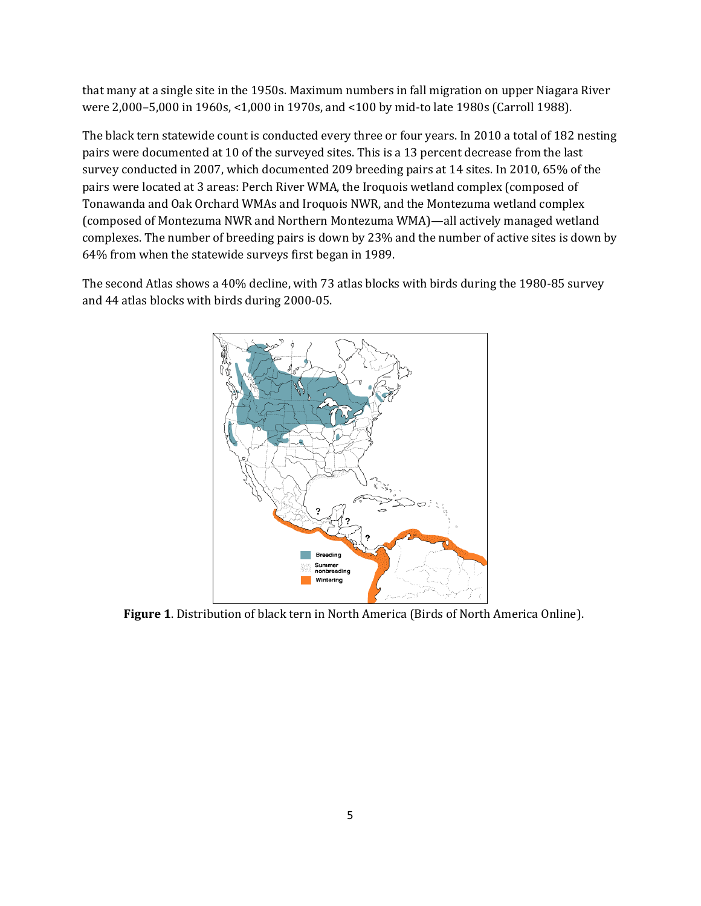that many at a single site in the 1950s. Maximum numbers in fall migration on upper Niagara River were 2,000–5,000 in 1960s, <1,000 in 1970s, and <100 by mid-to late 1980s (Carroll 1988).

The black tern statewide count is conducted every three or four years. In 2010 a total of 182 nesting pairs were documented at 10 of the surveyed sites. This is a 13 percent decrease from the last survey conducted in 2007, which documented 209 breeding pairs at 14 sites. In 2010, 65% of the pairs were located at 3 areas: Perch River WMA, the Iroquois wetland complex (composed of Tonawanda and Oak Orchard WMAs and Iroquois NWR, and the Montezuma wetland complex (composed of Montezuma NWR and Northern Montezuma WMA)—all actively managed wetland complexes. The number of breeding pairs is down by 23% and the number of active sites is down by 64% from when the statewide surveys first began in 1989.

The second Atlas shows a 40% decline, with 73 atlas blocks with birds during the 1980-85 survey and 44 atlas blocks with birds during 2000-05.



**Figure 1**. Distribution of black tern in North America (Birds of North America Online).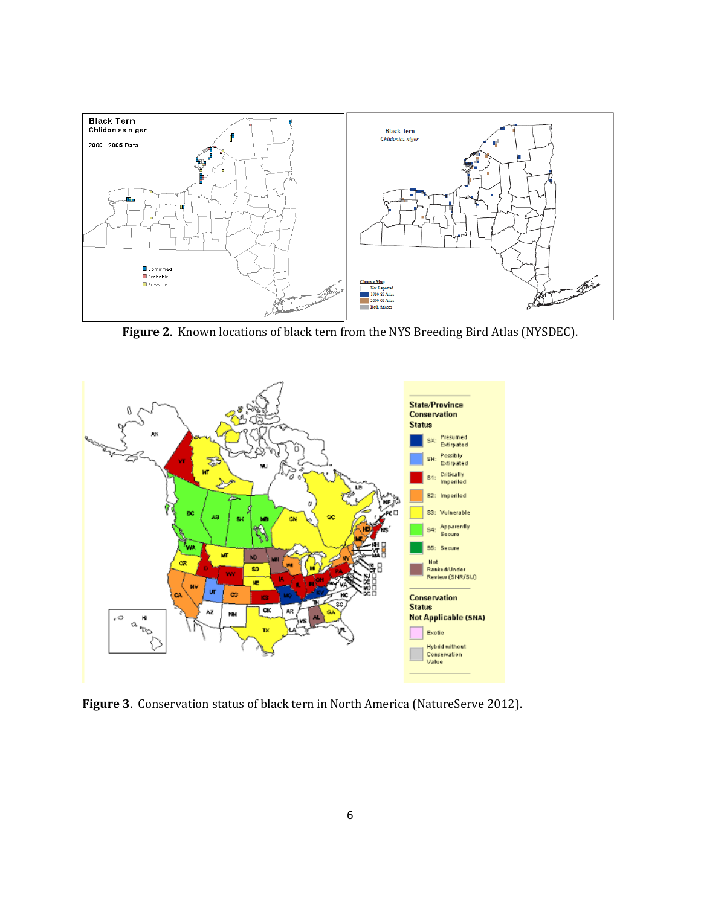

**Figure 2**. Known locations of black tern from the NYS Breeding Bird Atlas (NYSDEC).



**Figure 3**. Conservation status of black tern in North America (NatureServe 2012).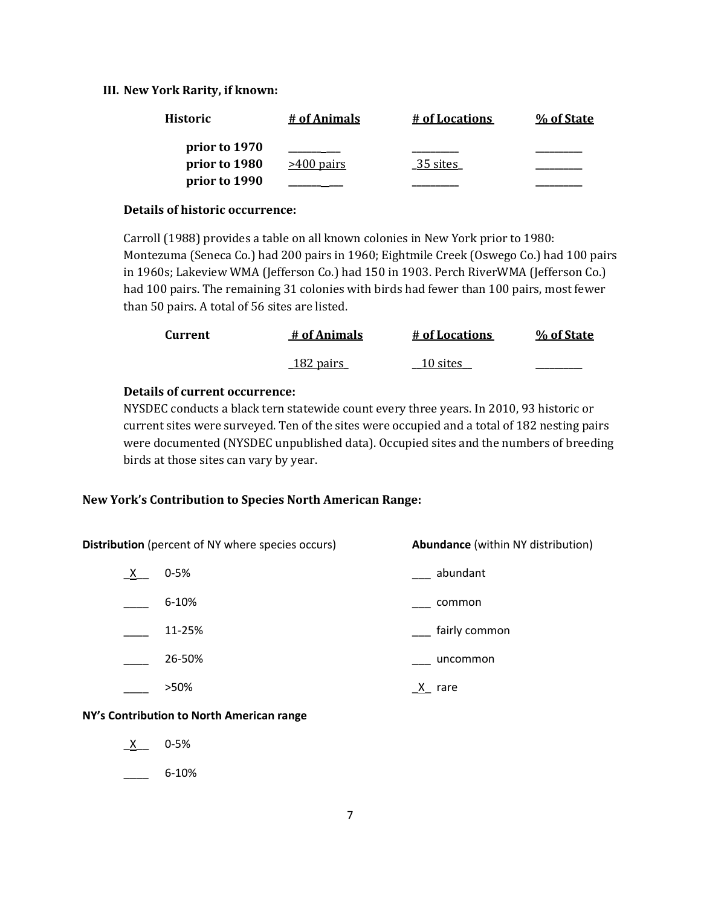### **III. New York Rarity, if known:**

| <b>Historic</b> | # of Animals | # of Locations | % of State |
|-----------------|--------------|----------------|------------|
| prior to 1970   |              |                |            |
| prior to 1980   | $>400$ pairs | 35 sites       |            |
| prior to 1990   |              |                |            |

#### **Details of historic occurrence:**

Carroll (1988) provides a table on all known colonies in New York prior to 1980: Montezuma (Seneca Co.) had 200 pairs in 1960; Eightmile Creek (Oswego Co.) had 100 pairs in 1960s; Lakeview WMA (Jefferson Co.) had 150 in 1903. Perch RiverWMA (Jefferson Co.) had 100 pairs. The remaining 31 colonies with birds had fewer than 100 pairs, most fewer than 50 pairs. A total of 56 sites are listed.

| Current | # of Animals      | # of Locations | % of State |
|---------|-------------------|----------------|------------|
|         | <u> 182 pairs</u> | 10 sites       |            |

# **Details of current occurrence:**

NYSDEC conducts a black tern statewide count every three years. In 2010, 93 historic or current sites were surveyed. Ten of the sites were occupied and a total of 182 nesting pairs were documented (NYSDEC unpublished data). Occupied sites and the numbers of breeding birds at those sites can vary by year.

#### **New York's Contribution to Species North American Range:**

| <b>Distribution</b> (percent of NY where species occurs) |           | <b>Abundance</b> (within NY distribution) |
|----------------------------------------------------------|-----------|-------------------------------------------|
| $\mathsf{X}$                                             | $0 - 5%$  | abundant                                  |
|                                                          | $6 - 10%$ | common                                    |
|                                                          | 11-25%    | fairly common                             |
|                                                          | 26-50%    | uncommon                                  |
|                                                          | >50%      | rare                                      |

### **NY's Contribution to North American range**

 $X$  0-5%

\_\_\_\_ 6-10%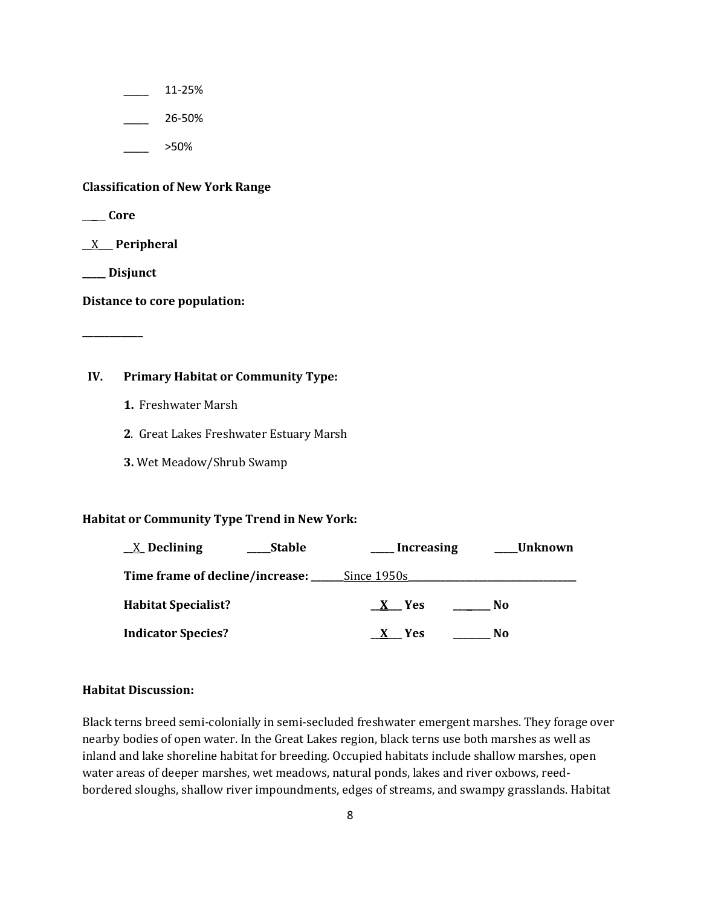\_\_\_\_ 11-25%

\_\_\_\_ 26-50%

\_\_\_\_ >50%

#### **Classification of New York Range**

\_\_\_\_\_ **Core**

\_\_X\_\_\_ **Peripheral**

**\_\_\_\_\_ Disjunct**

**\_\_\_\_\_\_\_\_\_\_\_**

**Distance to core population:**

# **IV. Primary Habitat or Community Type:**

- **1.** Freshwater Marsh
- **2**. Great Lakes Freshwater Estuary Marsh
- **3.** Wet Meadow/Shrub Swamp

#### **Habitat or Community Type Trend in New York:**

| $\underline{X}$ Declining                          | <b>Stable</b> | Increasing | Unknown |  |
|----------------------------------------------------|---------------|------------|---------|--|
| <b>Time frame of decline/increase:</b> Since 1950s |               |            |         |  |
| <b>Habitat Specialist?</b>                         |               | X Yes      | No      |  |
| <b>Indicator Species?</b>                          |               | <b>Yes</b> | No      |  |

#### **Habitat Discussion:**

Black terns breed semi-colonially in semi-secluded freshwater emergent marshes. They forage over nearby bodies of open water. In the Great Lakes region, black terns use both marshes as well as inland and lake shoreline habitat for breeding. Occupied habitats include shallow marshes, open water areas of deeper marshes, wet meadows, natural ponds, lakes and river oxbows, reedbordered sloughs, shallow river impoundments, edges of streams, and swampy grasslands. Habitat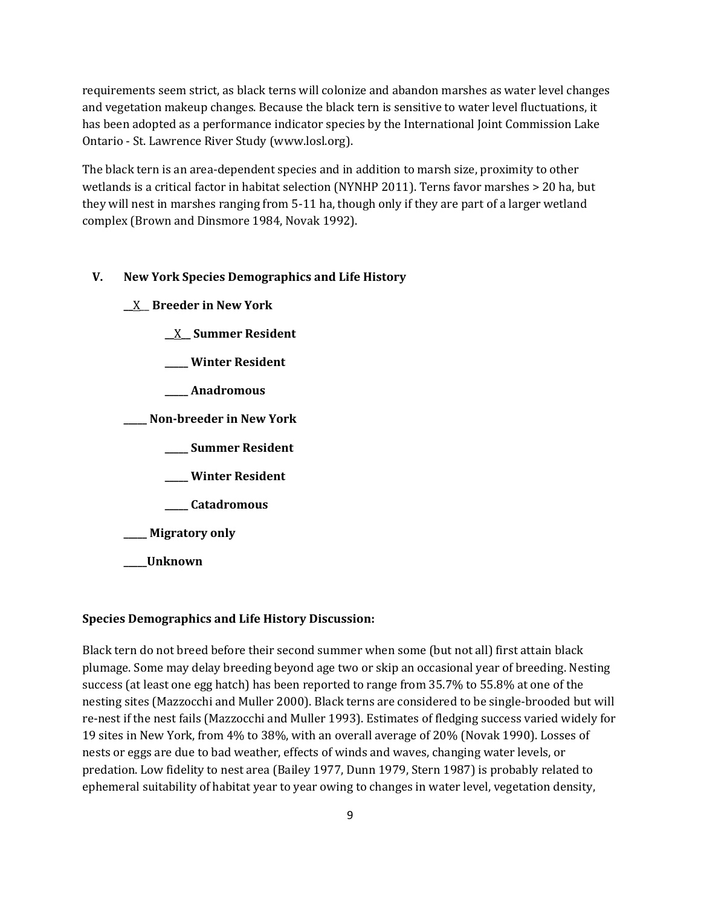requirements seem strict, as black terns will colonize and abandon marshes as water level changes and vegetation makeup changes. Because the black tern is sensitive to water level fluctuations, it has been adopted as a performance indicator species by the International Joint Commission Lake Ontario - St. Lawrence River Study (www.losl.org).

The black tern is an area-dependent species and in addition to marsh size, proximity to other wetlands is a critical factor in habitat selection (NYNHP 2011). Terns favor marshes > 20 ha, but they will nest in marshes ranging from 5-11 ha, though only if they are part of a larger wetland complex (Brown and Dinsmore 1984, Novak 1992).

# **V. New York Species Demographics and Life History**

**\_\_**X\_\_ **Breeder in New York**

**\_\_**X**\_\_ Summer Resident**

**\_\_\_\_\_ Winter Resident**

**\_\_\_\_\_ Anadromous**

**\_\_\_\_\_ Non-breeder in New York**

**\_\_\_\_\_ Summer Resident**

**\_\_\_\_\_ Winter Resident**

**\_\_\_\_\_ Catadromous**

**\_\_\_\_\_ Migratory only**

**\_\_\_\_\_Unknown**

#### **Species Demographics and Life History Discussion:**

Black tern do not breed before their second summer when some (but not all) first attain black plumage. Some may delay breeding beyond age two or skip an occasional year of breeding. Nesting success (at least one egg hatch) has been reported to range from 35.7% to 55.8% at one of the nesting sites (Mazzocchi and Muller 2000). Black terns are considered to be single-brooded but will re-nest if the nest fails (Mazzocchi and Muller 1993). Estimates of fledging success varied widely for 19 sites in New York, from 4% to 38%, with an overall average of 20% (Novak 1990). Losses of nests or eggs are due to bad weather, effects of winds and waves, changing water levels, or predation. Low fidelity to nest area (Bailey 1977, Dunn 1979, Stern 1987) is probably related to ephemeral suitability of habitat year to year owing to changes in water level, vegetation density,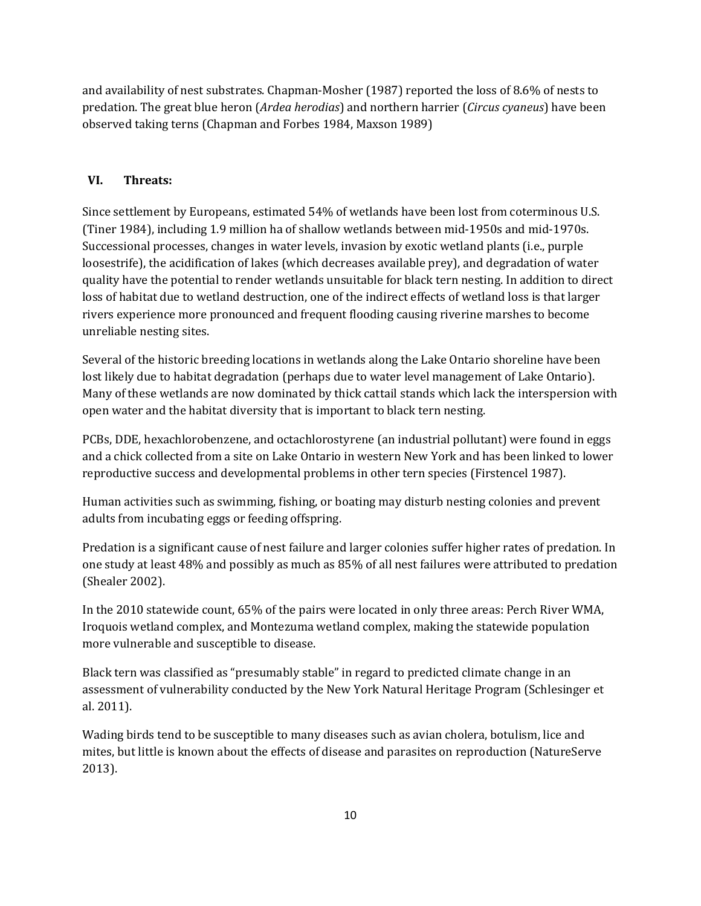and availability of nest substrates. Chapman-Mosher (1987) reported the loss of 8.6% of nests to predation. The great blue heron (*Ardea herodias*) and northern harrier (*Circus cyaneus*) have been observed taking terns (Chapman and Forbes 1984, Maxson 1989)

# **VI. Threats:**

Since settlement by Europeans, estimated 54% of wetlands have been lost from coterminous U.S. (Tiner 1984), including 1.9 million ha of shallow wetlands between mid-1950s and mid-1970s. Successional processes, changes in water levels, invasion by exotic wetland plants (i.e., purple loosestrife), the acidification of lakes (which decreases available prey), and degradation of water quality have the potential to render wetlands unsuitable for black tern nesting. In addition to direct loss of habitat due to wetland destruction, one of the indirect effects of wetland loss is that larger rivers experience more pronounced and frequent flooding causing riverine marshes to become unreliable nesting sites.

Several of the historic breeding locations in wetlands along the Lake Ontario shoreline have been lost likely due to habitat degradation (perhaps due to water level management of Lake Ontario). Many of these wetlands are now dominated by thick cattail stands which lack the interspersion with open water and the habitat diversity that is important to black tern nesting.

PCBs, DDE, hexachlorobenzene, and octachlorostyrene (an industrial pollutant) were found in eggs and a chick collected from a site on Lake Ontario in western New York and has been linked to lower reproductive success and developmental problems in other tern species (Firstencel 1987).

Human activities such as swimming, fishing, or boating may disturb nesting colonies and prevent adults from incubating eggs or feeding offspring.

Predation is a significant cause of nest failure and larger colonies suffer higher rates of predation. In one study at least 48% and possibly as much as 85% of all nest failures were attributed to predation (Shealer 2002).

In the 2010 statewide count, 65% of the pairs were located in only three areas: Perch River WMA, Iroquois wetland complex, and Montezuma wetland complex, making the statewide population more vulnerable and susceptible to disease.

Black tern was classified as "presumably stable" in regard to predicted climate change in an assessment of vulnerability conducted by the New York Natural Heritage Program (Schlesinger et al. 2011).

Wading birds tend to be susceptible to many diseases such as avian cholera, botulism, lice and mites, but little is known about the effects of disease and parasites on reproduction (NatureServe 2013).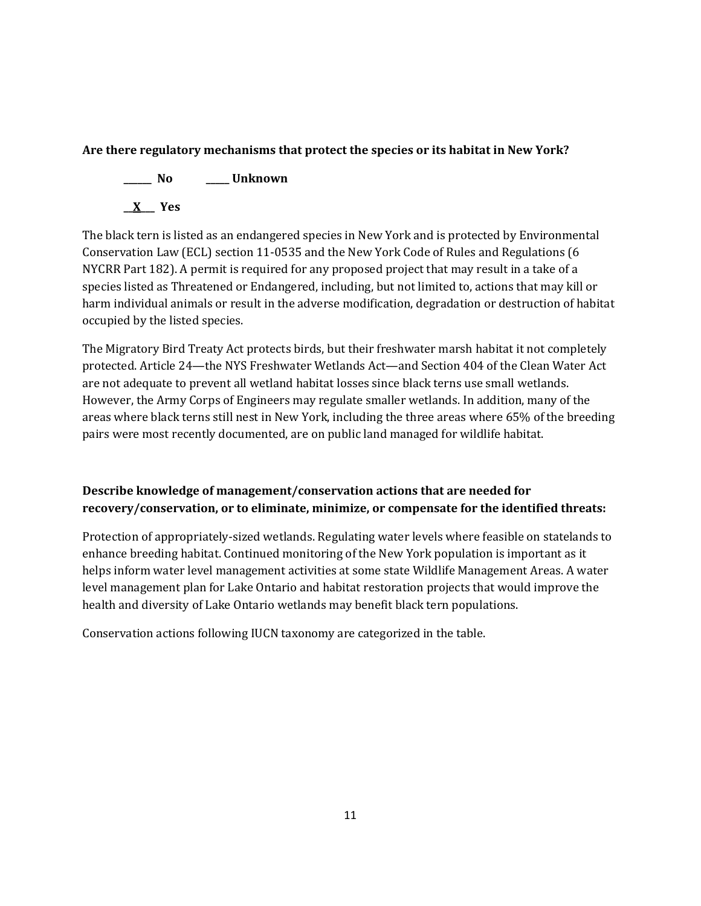# **Are there regulatory mechanisms that protect the species or its habitat in New York?**

**\_\_\_\_\_\_ No \_\_\_\_\_ Unknown**

**\_\_X\_\_\_ Yes** 

The black tern is listed as an endangered species in New York and is protected by Environmental Conservation Law (ECL) section 11-0535 and the New York Code of Rules and Regulations (6 NYCRR Part 182). A permit is required for any proposed project that may result in a take of a species listed as Threatened or Endangered, including, but not limited to, actions that may kill or harm individual animals or result in the adverse modification, degradation or destruction of habitat occupied by the listed species.

The Migratory Bird Treaty Act protects birds, but their freshwater marsh habitat it not completely protected. Article 24—the NYS Freshwater Wetlands Act—and Section 404 of the Clean Water Act are not adequate to prevent all wetland habitat losses since black terns use small wetlands. However, the Army Corps of Engineers may regulate smaller wetlands. In addition, many of the areas where black terns still nest in New York, including the three areas where 65% of the breeding pairs were most recently documented, are on public land managed for wildlife habitat.

# **Describe knowledge of management/conservation actions that are needed for recovery/conservation, or to eliminate, minimize, or compensate for the identified threats:**

Protection of appropriately-sized wetlands. Regulating water levels where feasible on statelands to enhance breeding habitat. Continued monitoring of the New York population is important as it helps inform water level management activities at some state Wildlife Management Areas. A water level management plan for Lake Ontario and habitat restoration projects that would improve the health and diversity of Lake Ontario wetlands may benefit black tern populations.

Conservation actions following IUCN taxonomy are categorized in the table.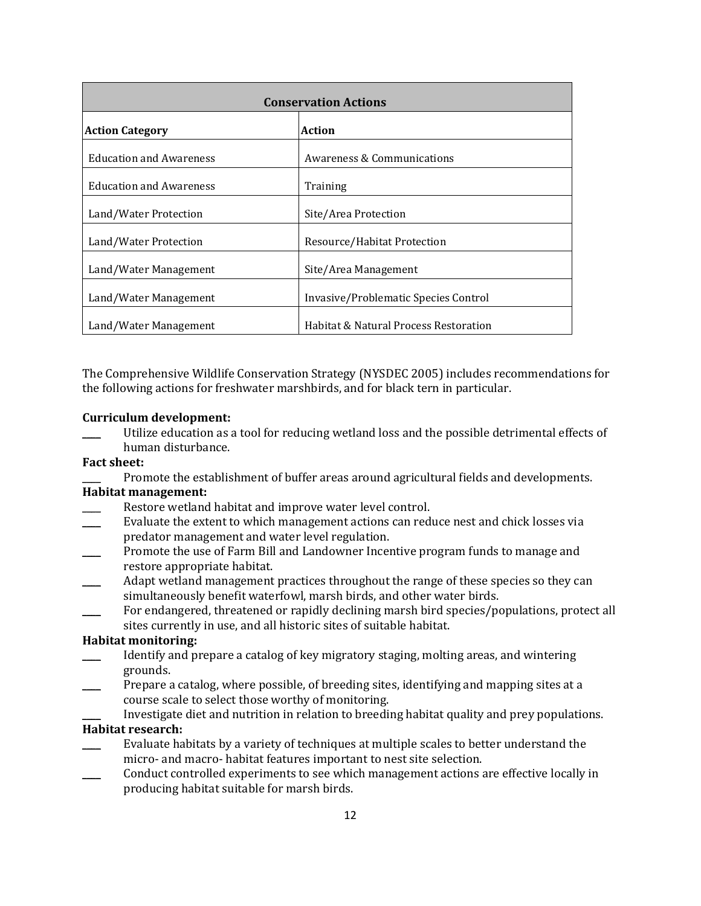| <b>Conservation Actions</b>                                   |                                       |  |
|---------------------------------------------------------------|---------------------------------------|--|
| <b>Action Category</b>                                        | Action                                |  |
| <b>Education and Awareness</b>                                | <b>Awareness &amp; Communications</b> |  |
| <b>Education and Awareness</b>                                | Training                              |  |
| Land/Water Protection                                         | Site/Area Protection                  |  |
| Land/Water Protection                                         | Resource/Habitat Protection           |  |
| Land/Water Management                                         | Site/Area Management                  |  |
| Invasive/Problematic Species Control<br>Land/Water Management |                                       |  |
| Land/Water Management                                         | Habitat & Natural Process Restoration |  |

The Comprehensive Wildlife Conservation Strategy (NYSDEC 2005) includes recommendations for the following actions for freshwater marshbirds, and for black tern in particular.

#### **Curriculum development:**

Utilize education as a tool for reducing wetland loss and the possible detrimental effects of human disturbance.

#### **Fact sheet:**

Promote the establishment of buffer areas around agricultural fields and developments.

# **Habitat management:**

- Restore wetland habitat and improve water level control.
- Evaluate the extent to which management actions can reduce nest and chick losses via predator management and water level regulation.
- \_\_\_\_ Promote the use of Farm Bill and Landowner Incentive program funds to manage and restore appropriate habitat.
- Adapt wetland management practices throughout the range of these species so they can simultaneously benefit waterfowl, marsh birds, and other water birds.
- For endangered, threatened or rapidly declining marsh bird species/populations, protect all sites currently in use, and all historic sites of suitable habitat.

### **Habitat monitoring:**

- \_\_\_\_ Identify and prepare a catalog of key migratory staging, molting areas, and wintering grounds.
- Prepare a catalog, where possible, of breeding sites, identifying and mapping sites at a course scale to select those worthy of monitoring.

Investigate diet and nutrition in relation to breeding habitat quality and prey populations. **Habitat research:** 

- Evaluate habitats by a variety of techniques at multiple scales to better understand the micro- and macro- habitat features important to nest site selection.
- Conduct controlled experiments to see which management actions are effective locally in producing habitat suitable for marsh birds.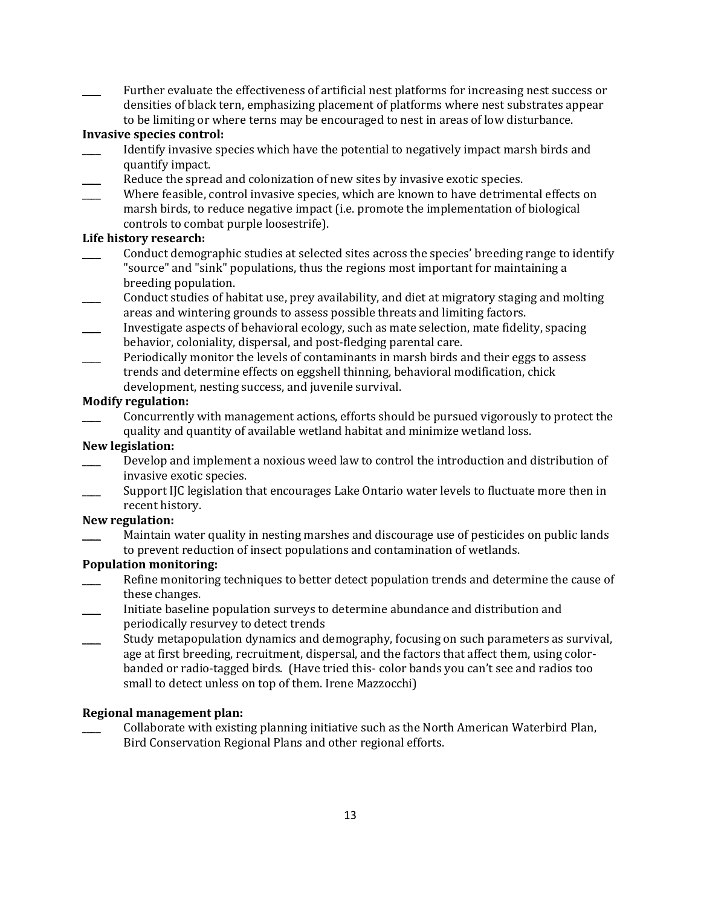Further evaluate the effectiveness of artificial nest platforms for increasing nest success or densities of black tern, emphasizing placement of platforms where nest substrates appear to be limiting or where terns may be encouraged to nest in areas of low disturbance.

# **Invasive species control:**

- Identify invasive species which have the potential to negatively impact marsh birds and quantify impact.
- Reduce the spread and colonization of new sites by invasive exotic species.
- Where feasible, control invasive species, which are known to have detrimental effects on marsh birds, to reduce negative impact (i.e. promote the implementation of biological controls to combat purple loosestrife).

# **Life history research:**

- \_\_\_\_ Conduct demographic studies at selected sites across the species' breeding range to identify "source" and "sink" populations, thus the regions most important for maintaining a breeding population.
- \_\_\_\_ Conduct studies of habitat use, prey availability, and diet at migratory staging and molting areas and wintering grounds to assess possible threats and limiting factors.
- \_\_\_\_ Investigate aspects of behavioral ecology, such as mate selection, mate fidelity, spacing behavior, coloniality, dispersal, and post-fledging parental care.
- \_\_\_\_ Periodically monitor the levels of contaminants in marsh birds and their eggs to assess trends and determine effects on eggshell thinning, behavioral modification, chick development, nesting success, and juvenile survival.

# **Modify regulation:**

\_\_\_\_ Concurrently with management actions, efforts should be pursued vigorously to protect the quality and quantity of available wetland habitat and minimize wetland loss.

# **New legislation:**

- Develop and implement a noxious weed law to control the introduction and distribution of invasive exotic species.
- Support IJC legislation that encourages Lake Ontario water levels to fluctuate more then in recent history.

# **New regulation:**

Maintain water quality in nesting marshes and discourage use of pesticides on public lands to prevent reduction of insect populations and contamination of wetlands.

# **Population monitoring:**

- Refine monitoring techniques to better detect population trends and determine the cause of these changes.
- \_\_\_\_ Initiate baseline population surveys to determine abundance and distribution and periodically resurvey to detect trends
- \_\_\_\_ Study metapopulation dynamics and demography, focusing on such parameters as survival, age at first breeding, recruitment, dispersal, and the factors that affect them, using colorbanded or radio-tagged birds. (Have tried this- color bands you can't see and radios too small to detect unless on top of them. Irene Mazzocchi)

# **Regional management plan:**

\_\_\_\_ Collaborate with existing planning initiative such as the North American Waterbird Plan, Bird Conservation Regional Plans and other regional efforts.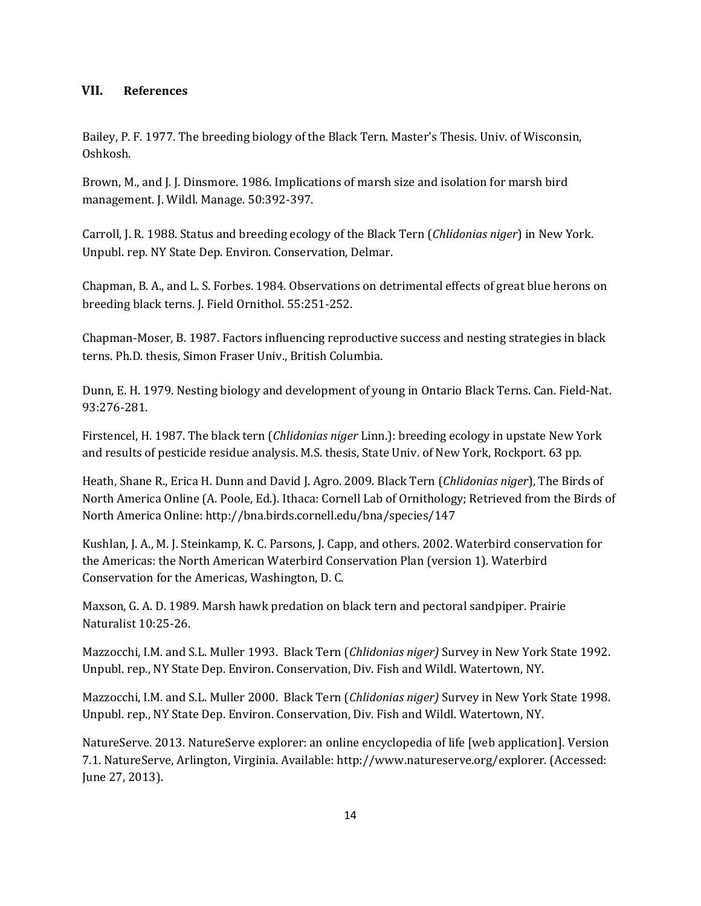# **VII. References**

Bailey, P. F. 1977. The breeding biology of the Black Tern. Master's Thesis. Univ. of Wisconsin, Oshkosh.

Brown, M., and J. J. Dinsmore. 1986. Implications of marsh size and isolation for marsh bird management. J. Wildl. Manage. 50:392-397.

Carroll, J. R. 1988. Status and breeding ecology of the Black Tern (*Chlidonias niger*) in New York. Unpubl. rep. NY State Dep. Environ. Conservation, Delmar.

Chapman, B. A., and L. S. Forbes. 1984. Observations on detrimental effects of great blue herons on breeding black terns. J. Field Ornithol. 55:251-252.

Chapman-Moser, B. 1987. Factors influencing reproductive success and nesting strategies in black terns. Ph.D. thesis, Simon Fraser Univ., British Columbia.

Dunn, E. H. 1979. Nesting biology and development of young in Ontario Black Terns. Can. Field-Nat. 93:276-281.

Firstencel, H. 1987. The black tern (*Chlidonias niger* Linn.): breeding ecology in upstate New York and results of pesticide residue analysis. M.S. thesis, State Univ. of New York, Rockport. 63 pp.

Heath, Shane R., Erica H. Dunn and David J. Agro. 2009. Black Tern (*Chlidonias niger*), The Birds of North America Online (A. Poole, Ed.). Ithaca: Cornell Lab of Ornithology; Retrieved from the Birds of North America Online: http://bna.birds.cornell.edu/bna/species/147

Kushlan, J. A., M. J. Steinkamp, K. C. Parsons, J. Capp, and others. 2002. Waterbird conservation for the Americas: the North American Waterbird Conservation Plan (version 1). Waterbird Conservation for the Americas, Washington, D. C.

Maxson, G. A. D. 1989. Marsh hawk predation on black tern and pectoral sandpiper. Prairie Naturalist 10:25-26.

Mazzocchi, I.M. and S.L. Muller 1993. Black Tern (*Chlidonias niger)* Survey in New York State 1992. Unpubl. rep., NY State Dep. Environ. Conservation, Div. Fish and Wildl. Watertown, NY.

Mazzocchi, I.M. and S.L. Muller 2000. Black Tern (*Chlidonias niger)* Survey in New York State 1998. Unpubl. rep., NY State Dep. Environ. Conservation, Div. Fish and Wildl. Watertown, NY.

NatureServe. 2013. NatureServe explorer: an online encyclopedia of life [web application]. Version 7.1. NatureServe, Arlington, Virginia. Available: http://www.natureserve.org/explorer. (Accessed: June 27, 2013).